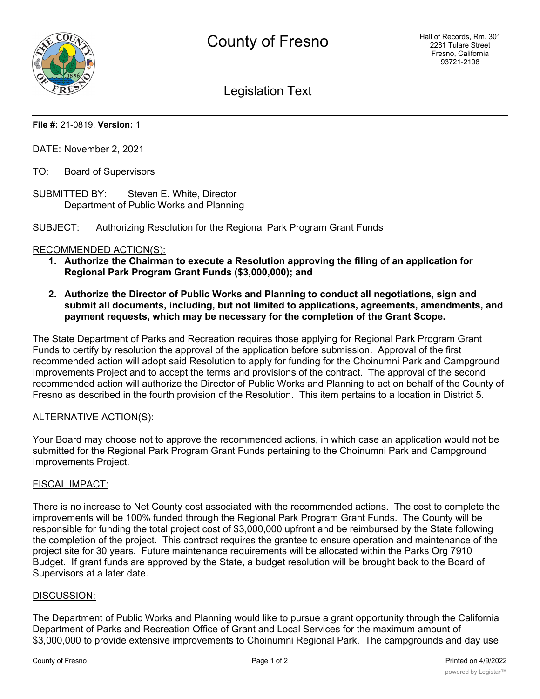

Legislation Text

## **File #:** 21-0819, **Version:** 1

DATE: November 2, 2021

- TO: Board of Supervisors
- SUBMITTED BY: Steven E. White, Director Department of Public Works and Planning

SUBJECT: Authorizing Resolution for the Regional Park Program Grant Funds

#### RECOMMENDED ACTION(S):

- **1. Authorize the Chairman to execute a Resolution approving the filing of an application for Regional Park Program Grant Funds (\$3,000,000); and**
- **2. Authorize the Director of Public Works and Planning to conduct all negotiations, sign and submit all documents, including, but not limited to applications, agreements, amendments, and payment requests, which may be necessary for the completion of the Grant Scope.**

The State Department of Parks and Recreation requires those applying for Regional Park Program Grant Funds to certify by resolution the approval of the application before submission. Approval of the first recommended action will adopt said Resolution to apply for funding for the Choinumni Park and Campground Improvements Project and to accept the terms and provisions of the contract. The approval of the second recommended action will authorize the Director of Public Works and Planning to act on behalf of the County of Fresno as described in the fourth provision of the Resolution. This item pertains to a location in District 5.

#### ALTERNATIVE ACTION(S):

Your Board may choose not to approve the recommended actions, in which case an application would not be submitted for the Regional Park Program Grant Funds pertaining to the Choinumni Park and Campground Improvements Project.

#### FISCAL IMPACT:

There is no increase to Net County cost associated with the recommended actions. The cost to complete the improvements will be 100% funded through the Regional Park Program Grant Funds. The County will be responsible for funding the total project cost of \$3,000,000 upfront and be reimbursed by the State following the completion of the project. This contract requires the grantee to ensure operation and maintenance of the project site for 30 years. Future maintenance requirements will be allocated within the Parks Org 7910 Budget. If grant funds are approved by the State, a budget resolution will be brought back to the Board of Supervisors at a later date.

#### DISCUSSION:

The Department of Public Works and Planning would like to pursue a grant opportunity through the California Department of Parks and Recreation Office of Grant and Local Services for the maximum amount of \$3,000,000 to provide extensive improvements to Choinumni Regional Park. The campgrounds and day use